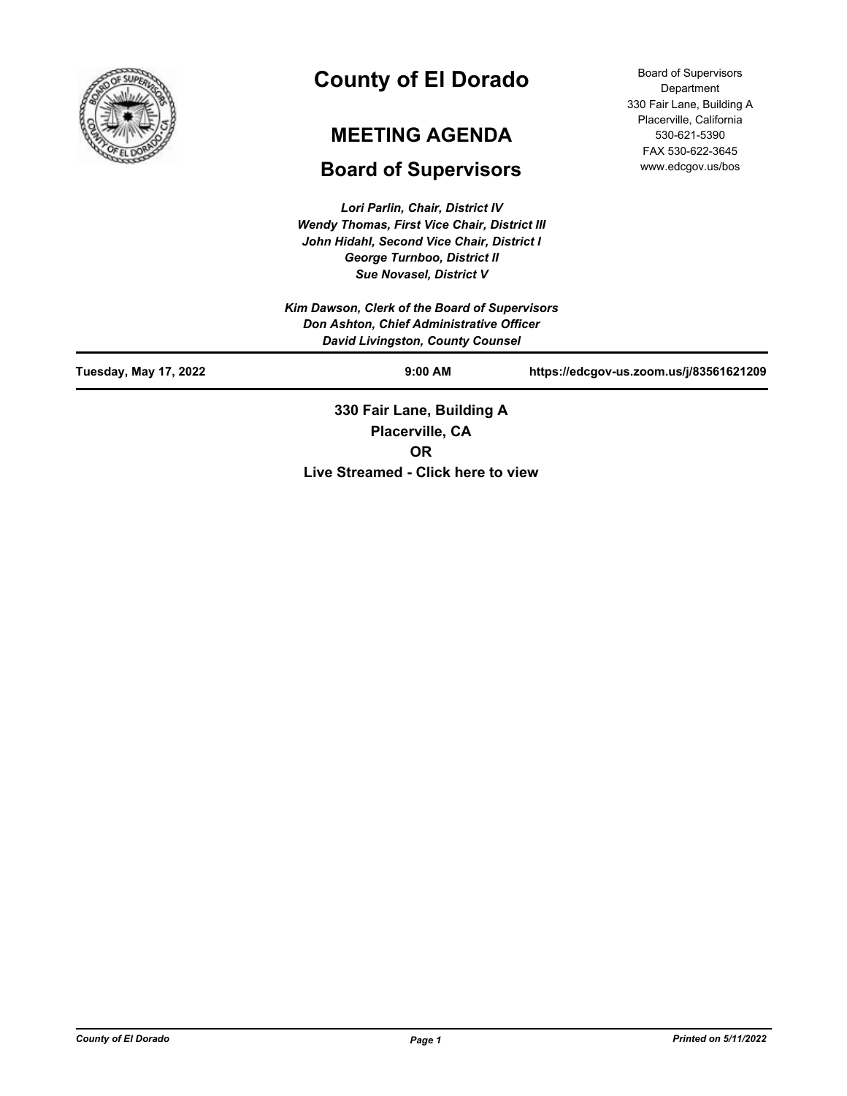

# **County of El Dorado**

# **MEETING AGENDA**

# **Board of Supervisors**

*Lori Parlin, Chair, District IV Wendy Thomas, First Vice Chair, District III John Hidahl, Second Vice Chair, District I George Turnboo, District II Sue Novasel, District V*

Board of Supervisors Department 330 Fair Lane, Building A Placerville, California 530-621-5390 FAX 530-622-3645 www.edcgov.us/bos

|                       | 330 Fair Lane, Building A                                                           |                                         |
|-----------------------|-------------------------------------------------------------------------------------|-----------------------------------------|
| Tuesday, May 17, 2022 | $9:00$ AM                                                                           | https://edcgov-us.zoom.us/j/83561621209 |
|                       | Don Ashton, Chief Administrative Officer<br><b>David Livingston, County Counsel</b> |                                         |
|                       | Kim Dawson, Clerk of the Board of Supervisors                                       |                                         |

**Placerville, CA OR Live Streamed - Click here to view**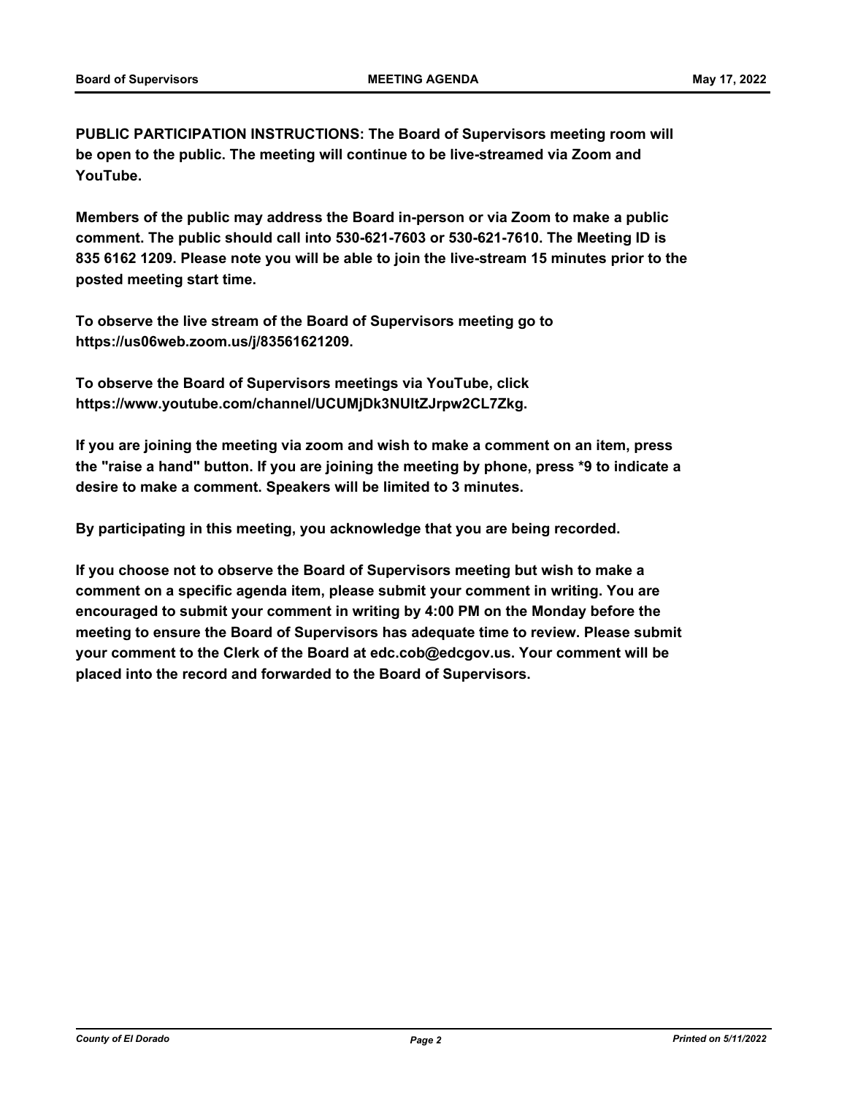**PUBLIC PARTICIPATION INSTRUCTIONS: The Board of Supervisors meeting room will be open to the public. The meeting will continue to be live-streamed via Zoom and YouTube.**

**Members of the public may address the Board in-person or via Zoom to make a public comment. The public should call into 530-621-7603 or 530-621-7610. The Meeting ID is 835 6162 1209. Please note you will be able to join the live-stream 15 minutes prior to the posted meeting start time.**

**To observe the live stream of the Board of Supervisors meeting go to https://us06web.zoom.us/j/83561621209.**

**To observe the Board of Supervisors meetings via YouTube, click https://www.youtube.com/channel/UCUMjDk3NUltZJrpw2CL7Zkg.**

**If you are joining the meeting via zoom and wish to make a comment on an item, press the "raise a hand" button. If you are joining the meeting by phone, press \*9 to indicate a desire to make a comment. Speakers will be limited to 3 minutes.**

**By participating in this meeting, you acknowledge that you are being recorded.**

**If you choose not to observe the Board of Supervisors meeting but wish to make a comment on a specific agenda item, please submit your comment in writing. You are encouraged to submit your comment in writing by 4:00 PM on the Monday before the meeting to ensure the Board of Supervisors has adequate time to review. Please submit your comment to the Clerk of the Board at edc.cob@edcgov.us. Your comment will be placed into the record and forwarded to the Board of Supervisors.**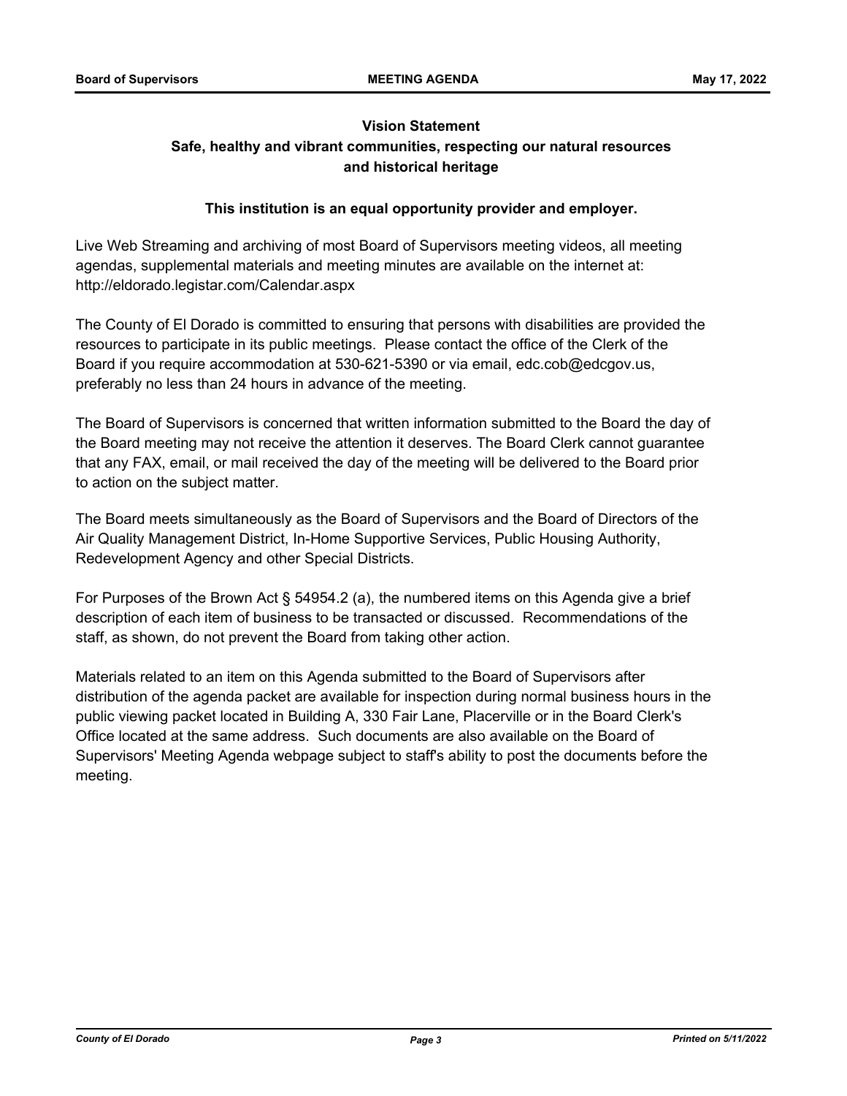## **Vision Statement Safe, healthy and vibrant communities, respecting our natural resources and historical heritage**

### **This institution is an equal opportunity provider and employer.**

Live Web Streaming and archiving of most Board of Supervisors meeting videos, all meeting agendas, supplemental materials and meeting minutes are available on the internet at: http://eldorado.legistar.com/Calendar.aspx

The County of El Dorado is committed to ensuring that persons with disabilities are provided the resources to participate in its public meetings. Please contact the office of the Clerk of the Board if you require accommodation at 530-621-5390 or via email, edc.cob@edcgov.us, preferably no less than 24 hours in advance of the meeting.

The Board of Supervisors is concerned that written information submitted to the Board the day of the Board meeting may not receive the attention it deserves. The Board Clerk cannot guarantee that any FAX, email, or mail received the day of the meeting will be delivered to the Board prior to action on the subject matter.

The Board meets simultaneously as the Board of Supervisors and the Board of Directors of the Air Quality Management District, In-Home Supportive Services, Public Housing Authority, Redevelopment Agency and other Special Districts.

For Purposes of the Brown Act § 54954.2 (a), the numbered items on this Agenda give a brief description of each item of business to be transacted or discussed. Recommendations of the staff, as shown, do not prevent the Board from taking other action.

Materials related to an item on this Agenda submitted to the Board of Supervisors after distribution of the agenda packet are available for inspection during normal business hours in the public viewing packet located in Building A, 330 Fair Lane, Placerville or in the Board Clerk's Office located at the same address. Such documents are also available on the Board of Supervisors' Meeting Agenda webpage subject to staff's ability to post the documents before the meeting.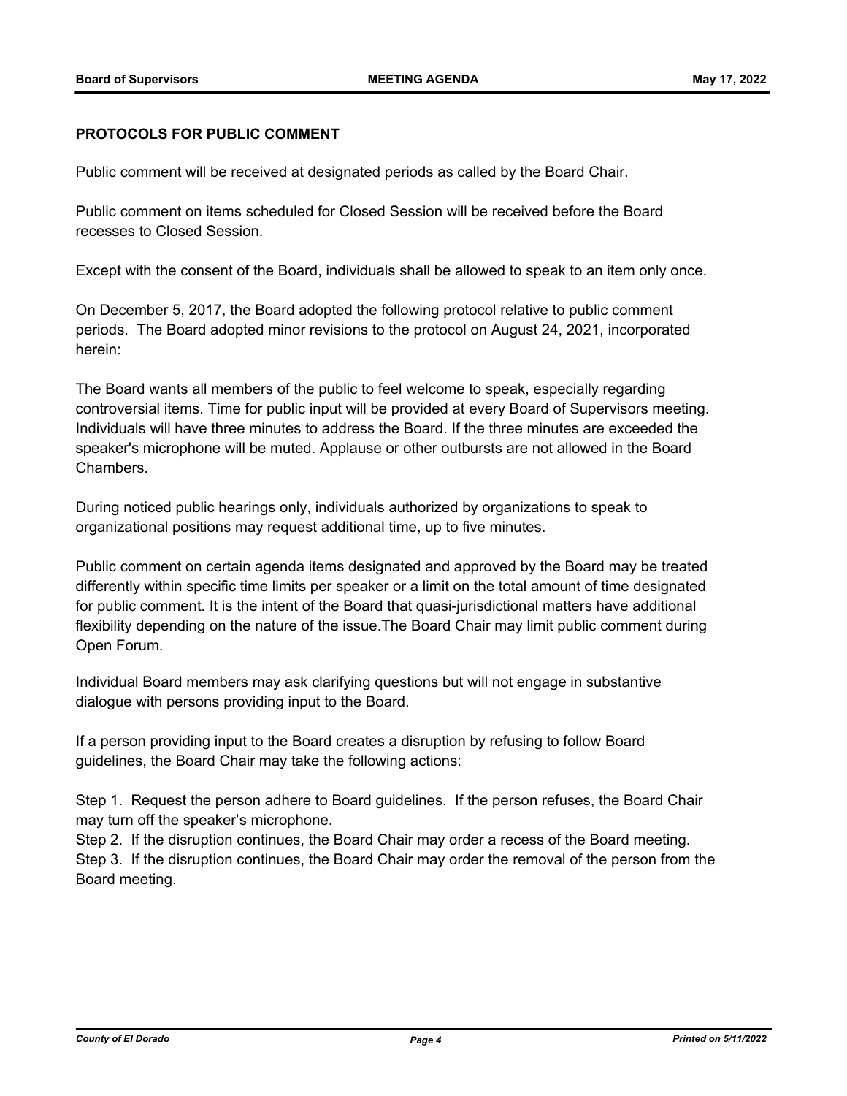#### **PROTOCOLS FOR PUBLIC COMMENT**

Public comment will be received at designated periods as called by the Board Chair.

Public comment on items scheduled for Closed Session will be received before the Board recesses to Closed Session.

Except with the consent of the Board, individuals shall be allowed to speak to an item only once.

On December 5, 2017, the Board adopted the following protocol relative to public comment periods. The Board adopted minor revisions to the protocol on August 24, 2021, incorporated herein:

The Board wants all members of the public to feel welcome to speak, especially regarding controversial items. Time for public input will be provided at every Board of Supervisors meeting. Individuals will have three minutes to address the Board. If the three minutes are exceeded the speaker's microphone will be muted. Applause or other outbursts are not allowed in the Board Chambers.

During noticed public hearings only, individuals authorized by organizations to speak to organizational positions may request additional time, up to five minutes.

Public comment on certain agenda items designated and approved by the Board may be treated differently within specific time limits per speaker or a limit on the total amount of time designated for public comment. It is the intent of the Board that quasi-jurisdictional matters have additional flexibility depending on the nature of the issue.The Board Chair may limit public comment during Open Forum.

Individual Board members may ask clarifying questions but will not engage in substantive dialogue with persons providing input to the Board.

If a person providing input to the Board creates a disruption by refusing to follow Board guidelines, the Board Chair may take the following actions:

Step 1. Request the person adhere to Board guidelines. If the person refuses, the Board Chair may turn off the speaker's microphone.

Step 2. If the disruption continues, the Board Chair may order a recess of the Board meeting. Step 3. If the disruption continues, the Board Chair may order the removal of the person from the Board meeting.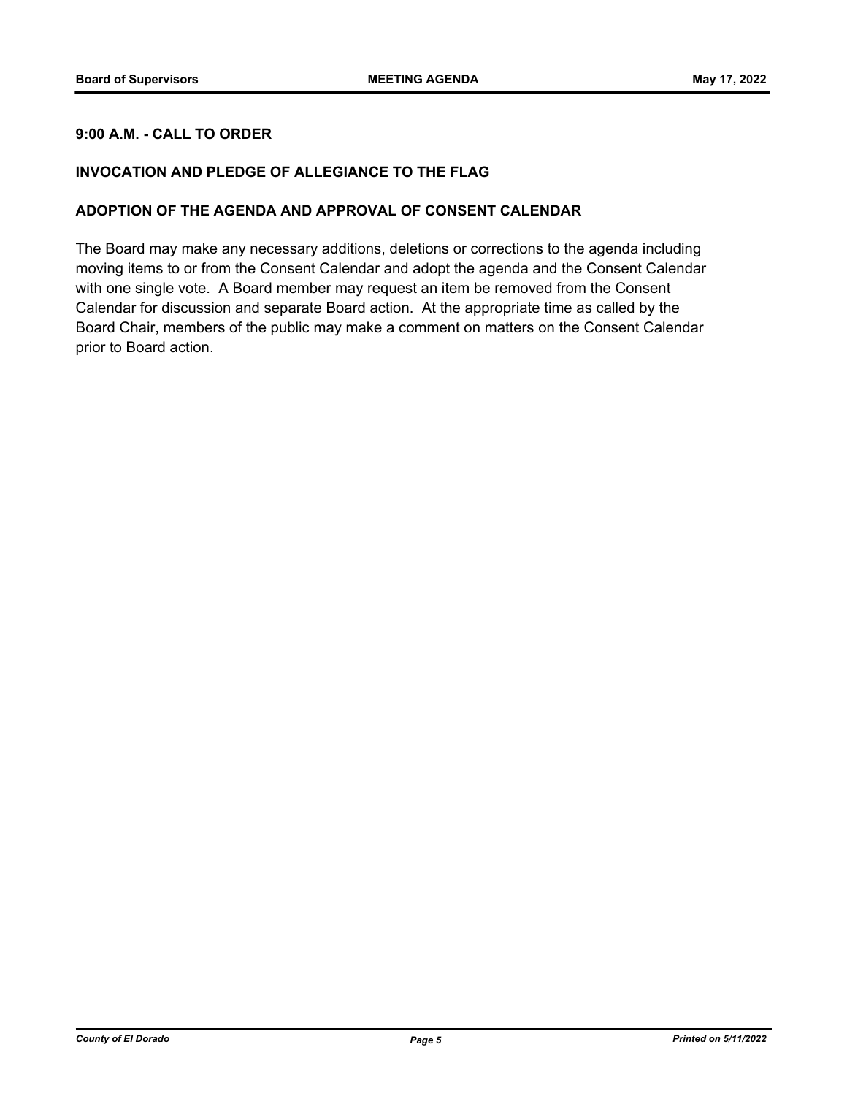#### **9:00 A.M. - CALL TO ORDER**

#### **INVOCATION AND PLEDGE OF ALLEGIANCE TO THE FLAG**

#### **ADOPTION OF THE AGENDA AND APPROVAL OF CONSENT CALENDAR**

The Board may make any necessary additions, deletions or corrections to the agenda including moving items to or from the Consent Calendar and adopt the agenda and the Consent Calendar with one single vote. A Board member may request an item be removed from the Consent Calendar for discussion and separate Board action. At the appropriate time as called by the Board Chair, members of the public may make a comment on matters on the Consent Calendar prior to Board action.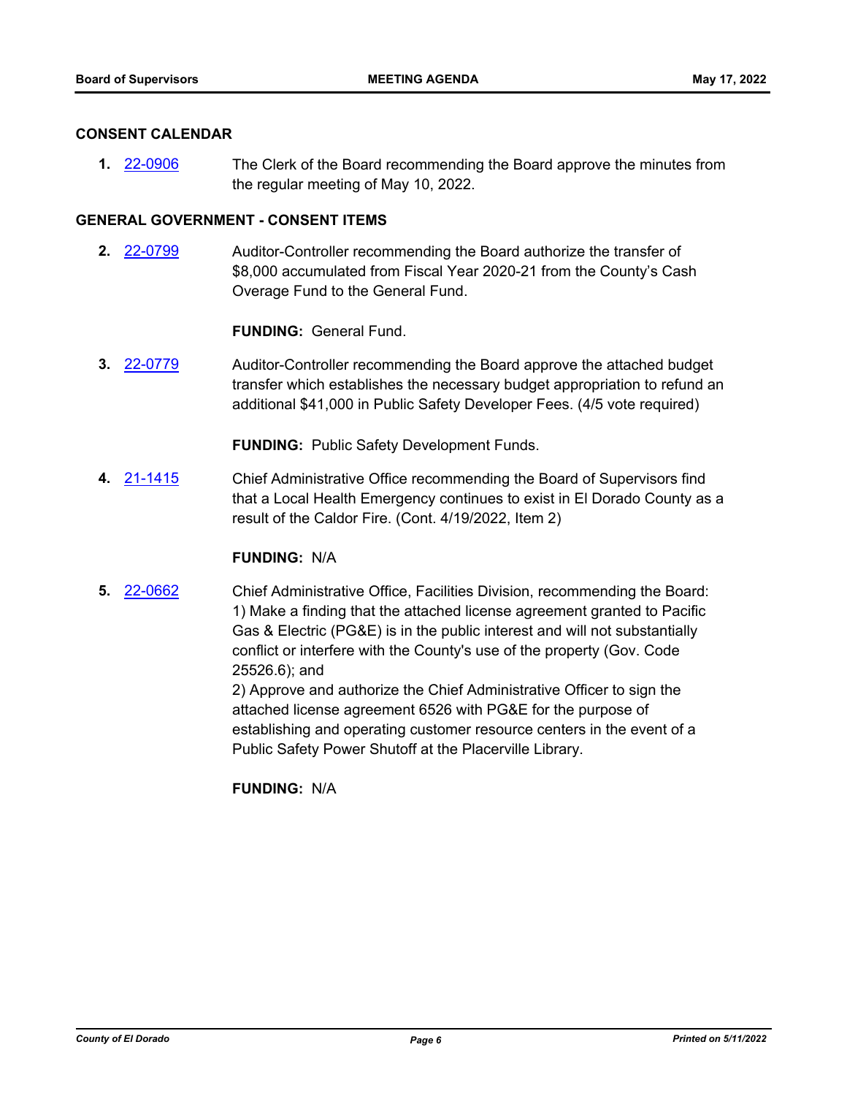#### **CONSENT CALENDAR**

**1.** [22-0906](http://eldorado.legistar.com/gateway.aspx?m=l&id=/matter.aspx?key=31809) The Clerk of the Board recommending the Board approve the minutes from the regular meeting of May 10, 2022.

#### **GENERAL GOVERNMENT - CONSENT ITEMS**

**2.** [22-0799](http://eldorado.legistar.com/gateway.aspx?m=l&id=/matter.aspx?key=31701) Auditor-Controller recommending the Board authorize the transfer of \$8,000 accumulated from Fiscal Year 2020-21 from the County's Cash Overage Fund to the General Fund.

**FUNDING:** General Fund.

**3.** [22-0779](http://eldorado.legistar.com/gateway.aspx?m=l&id=/matter.aspx?key=31680) Auditor-Controller recommending the Board approve the attached budget transfer which establishes the necessary budget appropriation to refund an additional \$41,000 in Public Safety Developer Fees. (4/5 vote required)

**FUNDING:** Public Safety Development Funds.

**4.** [21-1415](http://eldorado.legistar.com/gateway.aspx?m=l&id=/matter.aspx?key=30310) Chief Administrative Office recommending the Board of Supervisors find that a Local Health Emergency continues to exist in El Dorado County as a result of the Caldor Fire. (Cont. 4/19/2022, Item 2)

#### **FUNDING:** N/A

**5.** [22-0662](http://eldorado.legistar.com/gateway.aspx?m=l&id=/matter.aspx?key=31563) Chief Administrative Office, Facilities Division, recommending the Board: 1) Make a finding that the attached license agreement granted to Pacific Gas & Electric (PG&E) is in the public interest and will not substantially conflict or interfere with the County's use of the property (Gov. Code 25526.6); and

> 2) Approve and authorize the Chief Administrative Officer to sign the attached license agreement 6526 with PG&E for the purpose of establishing and operating customer resource centers in the event of a Public Safety Power Shutoff at the Placerville Library.

**FUNDING:** N/A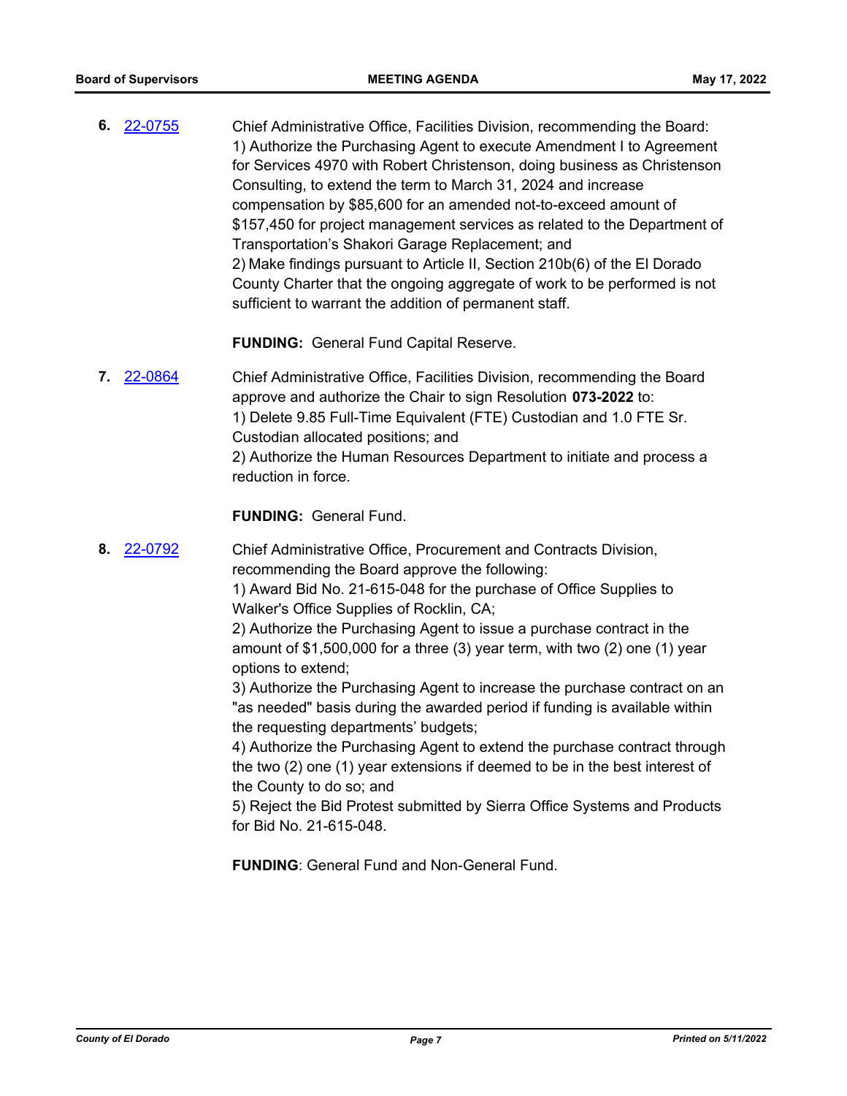**6.** [22-0755](http://eldorado.legistar.com/gateway.aspx?m=l&id=/matter.aspx?key=31656) Chief Administrative Office, Facilities Division, recommending the Board: 1) Authorize the Purchasing Agent to execute Amendment I to Agreement for Services 4970 with Robert Christenson, doing business as Christenson Consulting, to extend the term to March 31, 2024 and increase compensation by \$85,600 for an amended not-to-exceed amount of \$157,450 for project management services as related to the Department of Transportation's Shakori Garage Replacement; and 2) Make findings pursuant to Article II, Section 210b(6) of the El Dorado County Charter that the ongoing aggregate of work to be performed is not sufficient to warrant the addition of permanent staff.

**FUNDING:** General Fund Capital Reserve.

**7.** [22-0864](http://eldorado.legistar.com/gateway.aspx?m=l&id=/matter.aspx?key=31767) Chief Administrative Office, Facilities Division, recommending the Board approve and authorize the Chair to sign Resolution **073-2022** to: 1) Delete 9.85 Full-Time Equivalent (FTE) Custodian and 1.0 FTE Sr. Custodian allocated positions; and 2) Authorize the Human Resources Department to initiate and process a reduction in force.

#### **FUNDING:** General Fund.

**8.** [22-0792](http://eldorado.legistar.com/gateway.aspx?m=l&id=/matter.aspx?key=31694) Chief Administrative Office, Procurement and Contracts Division, recommending the Board approve the following:

1) Award Bid No. 21-615-048 for the purchase of Office Supplies to Walker's Office Supplies of Rocklin, CA;

2) Authorize the Purchasing Agent to issue a purchase contract in the amount of \$1,500,000 for a three (3) year term, with two (2) one (1) year options to extend;

3) Authorize the Purchasing Agent to increase the purchase contract on an "as needed" basis during the awarded period if funding is available within the requesting departments' budgets;

4) Authorize the Purchasing Agent to extend the purchase contract through the two (2) one (1) year extensions if deemed to be in the best interest of the County to do so; and

5) Reject the Bid Protest submitted by Sierra Office Systems and Products for Bid No. 21-615-048.

**FUNDING**: General Fund and Non-General Fund.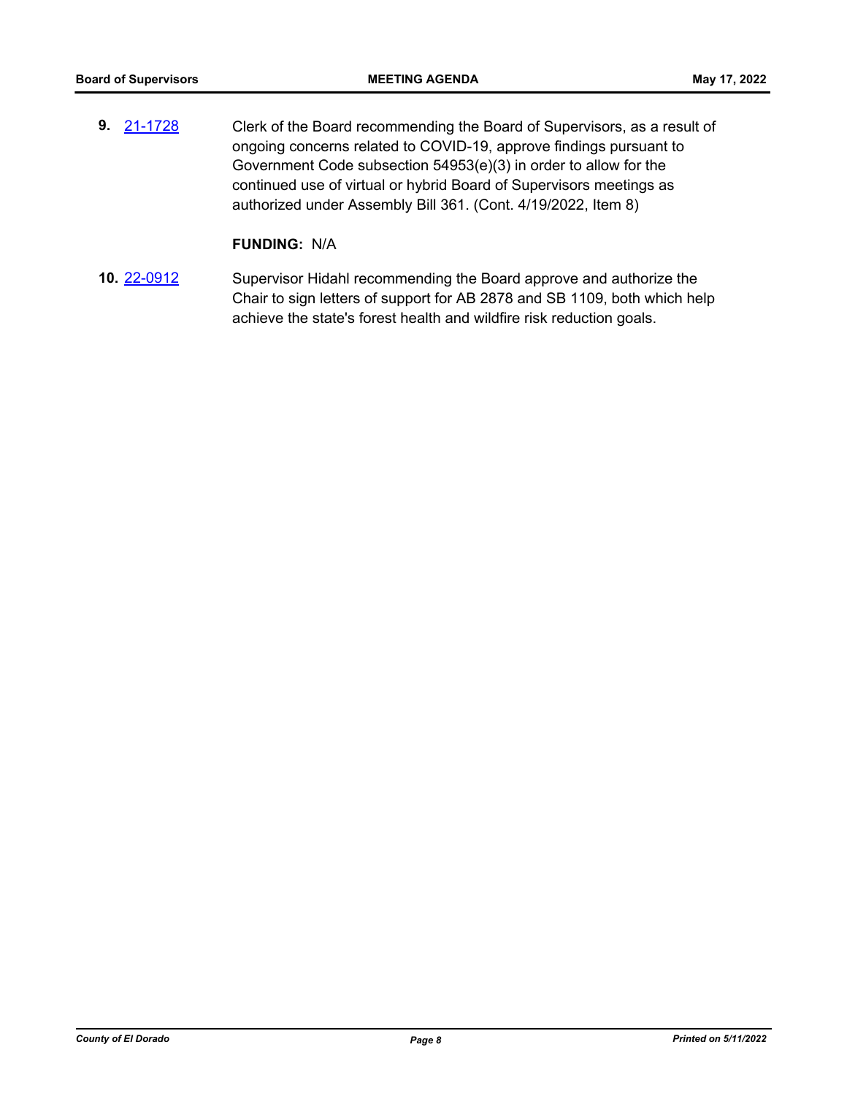**9.** [21-1728](http://eldorado.legistar.com/gateway.aspx?m=l&id=/matter.aspx?key=30623) Clerk of the Board recommending the Board of Supervisors, as a result of ongoing concerns related to COVID-19, approve findings pursuant to Government Code subsection 54953(e)(3) in order to allow for the continued use of virtual or hybrid Board of Supervisors meetings as authorized under Assembly Bill 361. (Cont. 4/19/2022, Item 8)

#### **FUNDING:** N/A

**10.** [22-0912](http://eldorado.legistar.com/gateway.aspx?m=l&id=/matter.aspx?key=31815) Supervisor Hidahl recommending the Board approve and authorize the Chair to sign letters of support for AB 2878 and SB 1109, both which help achieve the state's forest health and wildfire risk reduction goals.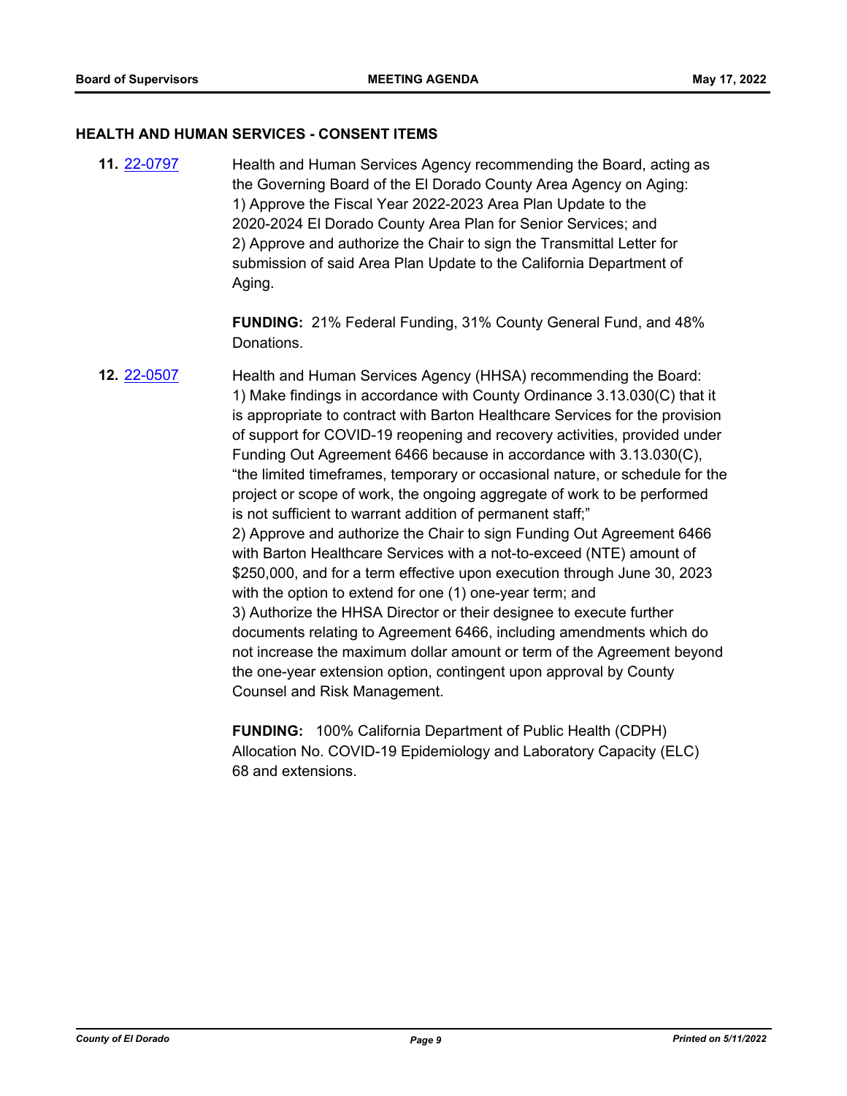#### **HEALTH AND HUMAN SERVICES - CONSENT ITEMS**

**11.** [22-0797](http://eldorado.legistar.com/gateway.aspx?m=l&id=/matter.aspx?key=31699) Health and Human Services Agency recommending the Board, acting as the Governing Board of the El Dorado County Area Agency on Aging: 1) Approve the Fiscal Year 2022-2023 Area Plan Update to the 2020-2024 El Dorado County Area Plan for Senior Services; and 2) Approve and authorize the Chair to sign the Transmittal Letter for submission of said Area Plan Update to the California Department of Aging.

> **FUNDING:** 21% Federal Funding, 31% County General Fund, and 48% Donations.

# **12.** [22-0507](http://eldorado.legistar.com/gateway.aspx?m=l&id=/matter.aspx?key=31408) Health and Human Services Agency (HHSA) recommending the Board: 1) Make findings in accordance with County Ordinance 3.13.030(C) that it is appropriate to contract with Barton Healthcare Services for the provision of support for COVID-19 reopening and recovery activities, provided under Funding Out Agreement 6466 because in accordance with 3.13.030(C), "the limited timeframes, temporary or occasional nature, or schedule for the project or scope of work, the ongoing aggregate of work to be performed is not sufficient to warrant addition of permanent staff;" 2) Approve and authorize the Chair to sign Funding Out Agreement 6466 with Barton Healthcare Services with a not-to-exceed (NTE) amount of \$250,000, and for a term effective upon execution through June 30, 2023 with the option to extend for one (1) one-year term; and 3) Authorize the HHSA Director or their designee to execute further documents relating to Agreement 6466, including amendments which do not increase the maximum dollar amount or term of the Agreement beyond the one-year extension option, contingent upon approval by County Counsel and Risk Management.

**FUNDING:** 100% California Department of Public Health (CDPH) Allocation No. COVID-19 Epidemiology and Laboratory Capacity (ELC) 68 and extensions.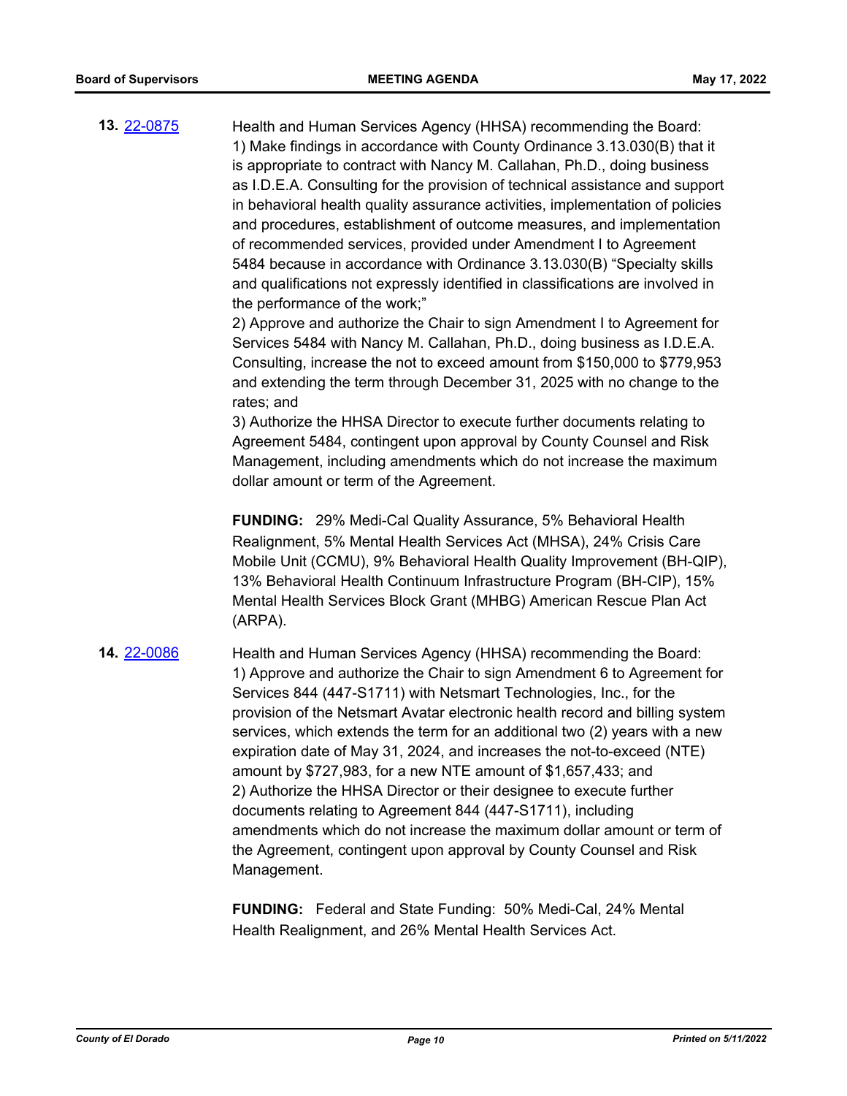**13.** [22-0875](http://eldorado.legistar.com/gateway.aspx?m=l&id=/matter.aspx?key=31778) Health and Human Services Agency (HHSA) recommending the Board: 1) Make findings in accordance with County Ordinance 3.13.030(B) that it is appropriate to contract with Nancy M. Callahan, Ph.D., doing business as I.D.E.A. Consulting for the provision of technical assistance and support in behavioral health quality assurance activities, implementation of policies and procedures, establishment of outcome measures, and implementation of recommended services, provided under Amendment I to Agreement 5484 because in accordance with Ordinance 3.13.030(B) "Specialty skills and qualifications not expressly identified in classifications are involved in the performance of the work;"

> 2) Approve and authorize the Chair to sign Amendment I to Agreement for Services 5484 with Nancy M. Callahan, Ph.D., doing business as I.D.E.A. Consulting, increase the not to exceed amount from \$150,000 to \$779,953 and extending the term through December 31, 2025 with no change to the rates; and

> 3) Authorize the HHSA Director to execute further documents relating to Agreement 5484, contingent upon approval by County Counsel and Risk Management, including amendments which do not increase the maximum dollar amount or term of the Agreement.

**FUNDING:** 29% Medi-Cal Quality Assurance, 5% Behavioral Health Realignment, 5% Mental Health Services Act (MHSA), 24% Crisis Care Mobile Unit (CCMU), 9% Behavioral Health Quality Improvement (BH-QIP), 13% Behavioral Health Continuum Infrastructure Program (BH-CIP), 15% Mental Health Services Block Grant (MHBG) American Rescue Plan Act (ARPA).

**14.** [22-0086](http://eldorado.legistar.com/gateway.aspx?m=l&id=/matter.aspx?key=30986) Health and Human Services Agency (HHSA) recommending the Board: 1) Approve and authorize the Chair to sign Amendment 6 to Agreement for Services 844 (447-S1711) with Netsmart Technologies, Inc., for the provision of the Netsmart Avatar electronic health record and billing system services, which extends the term for an additional two (2) years with a new expiration date of May 31, 2024, and increases the not-to-exceed (NTE) amount by \$727,983, for a new NTE amount of \$1,657,433; and 2) Authorize the HHSA Director or their designee to execute further documents relating to Agreement 844 (447-S1711), including amendments which do not increase the maximum dollar amount or term of the Agreement, contingent upon approval by County Counsel and Risk Management.

> **FUNDING:** Federal and State Funding: 50% Medi-Cal, 24% Mental Health Realignment, and 26% Mental Health Services Act.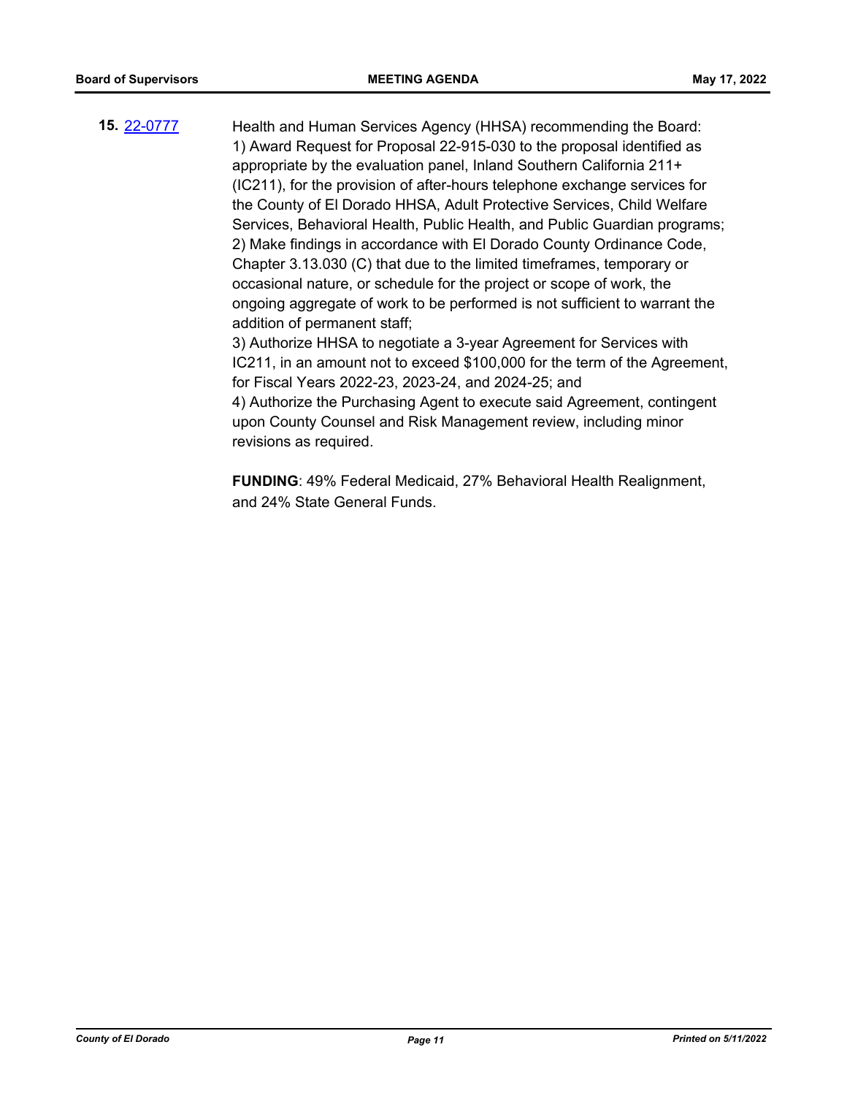**15.** [22-0777](http://eldorado.legistar.com/gateway.aspx?m=l&id=/matter.aspx?key=31678) Health and Human Services Agency (HHSA) recommending the Board: 1) Award Request for Proposal 22-915-030 to the proposal identified as appropriate by the evaluation panel, Inland Southern California 211+ (IC211), for the provision of after-hours telephone exchange services for the County of El Dorado HHSA, Adult Protective Services, Child Welfare Services, Behavioral Health, Public Health, and Public Guardian programs; 2) Make findings in accordance with El Dorado County Ordinance Code, Chapter 3.13.030 (C) that due to the limited timeframes, temporary or occasional nature, or schedule for the project or scope of work, the ongoing aggregate of work to be performed is not sufficient to warrant the addition of permanent staff; 3) Authorize HHSA to negotiate a 3-year Agreement for Services with

IC211, in an amount not to exceed \$100,000 for the term of the Agreement, for Fiscal Years 2022-23, 2023-24, and 2024-25; and

4) Authorize the Purchasing Agent to execute said Agreement, contingent upon County Counsel and Risk Management review, including minor revisions as required.

**FUNDING**: 49% Federal Medicaid, 27% Behavioral Health Realignment, and 24% State General Funds.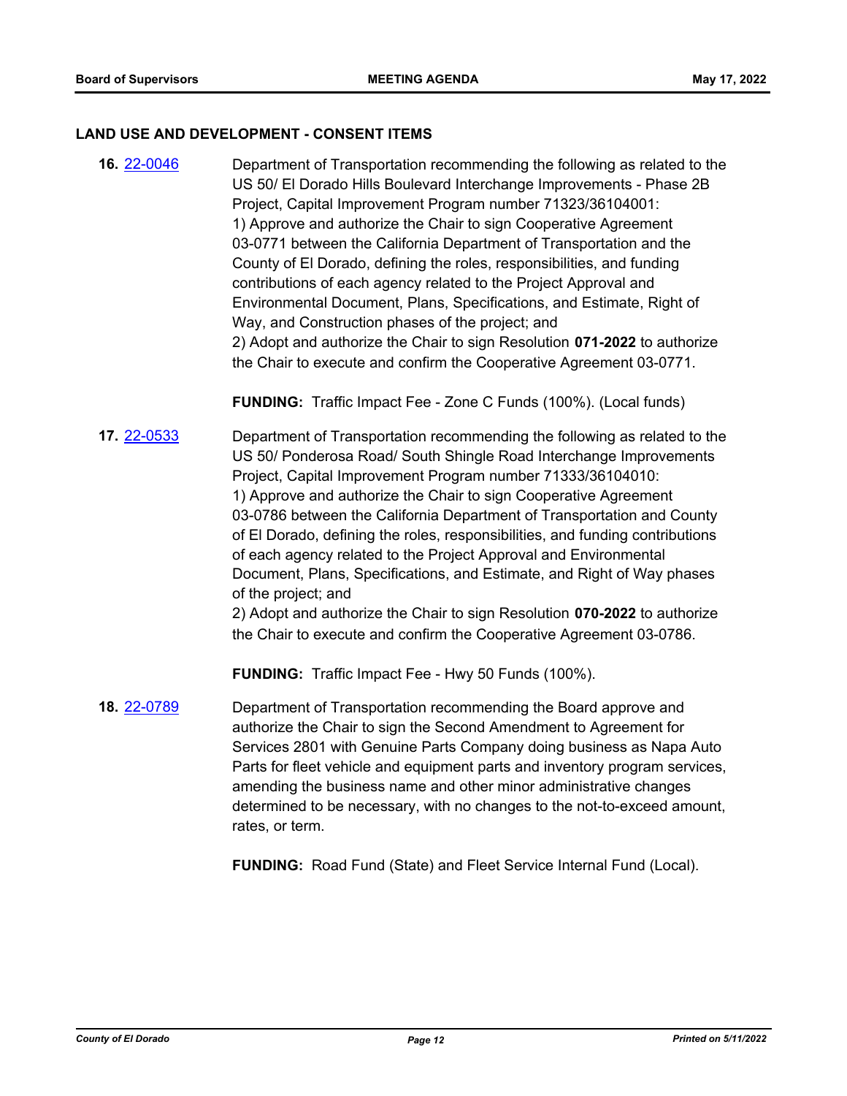#### **LAND USE AND DEVELOPMENT - CONSENT ITEMS**

**16.** [22-0046](http://eldorado.legistar.com/gateway.aspx?m=l&id=/matter.aspx?key=30946) Department of Transportation recommending the following as related to the US 50/ El Dorado Hills Boulevard Interchange Improvements - Phase 2B Project, Capital Improvement Program number 71323/36104001: 1) Approve and authorize the Chair to sign Cooperative Agreement 03-0771 between the California Department of Transportation and the County of El Dorado, defining the roles, responsibilities, and funding contributions of each agency related to the Project Approval and Environmental Document, Plans, Specifications, and Estimate, Right of Way, and Construction phases of the project; and 2) Adopt and authorize the Chair to sign Resolution **071-2022** to authorize the Chair to execute and confirm the Cooperative Agreement 03-0771.

**FUNDING:** Traffic Impact Fee - Zone C Funds (100%). (Local funds)

**17.** [22-0533](http://eldorado.legistar.com/gateway.aspx?m=l&id=/matter.aspx?key=31434) Department of Transportation recommending the following as related to the US 50/ Ponderosa Road/ South Shingle Road Interchange Improvements Project, Capital Improvement Program number 71333/36104010: 1) Approve and authorize the Chair to sign Cooperative Agreement 03-0786 between the California Department of Transportation and County of El Dorado, defining the roles, responsibilities, and funding contributions of each agency related to the Project Approval and Environmental Document, Plans, Specifications, and Estimate, and Right of Way phases of the project; and

2) Adopt and authorize the Chair to sign Resolution **070-2022** to authorize the Chair to execute and confirm the Cooperative Agreement 03-0786.

**FUNDING:** Traffic Impact Fee - Hwy 50 Funds (100%).

**18.** [22-0789](http://eldorado.legistar.com/gateway.aspx?m=l&id=/matter.aspx?key=31690) Department of Transportation recommending the Board approve and authorize the Chair to sign the Second Amendment to Agreement for Services 2801 with Genuine Parts Company doing business as Napa Auto Parts for fleet vehicle and equipment parts and inventory program services, amending the business name and other minor administrative changes determined to be necessary, with no changes to the not-to-exceed amount, rates, or term.

**FUNDING:** Road Fund (State) and Fleet Service Internal Fund (Local).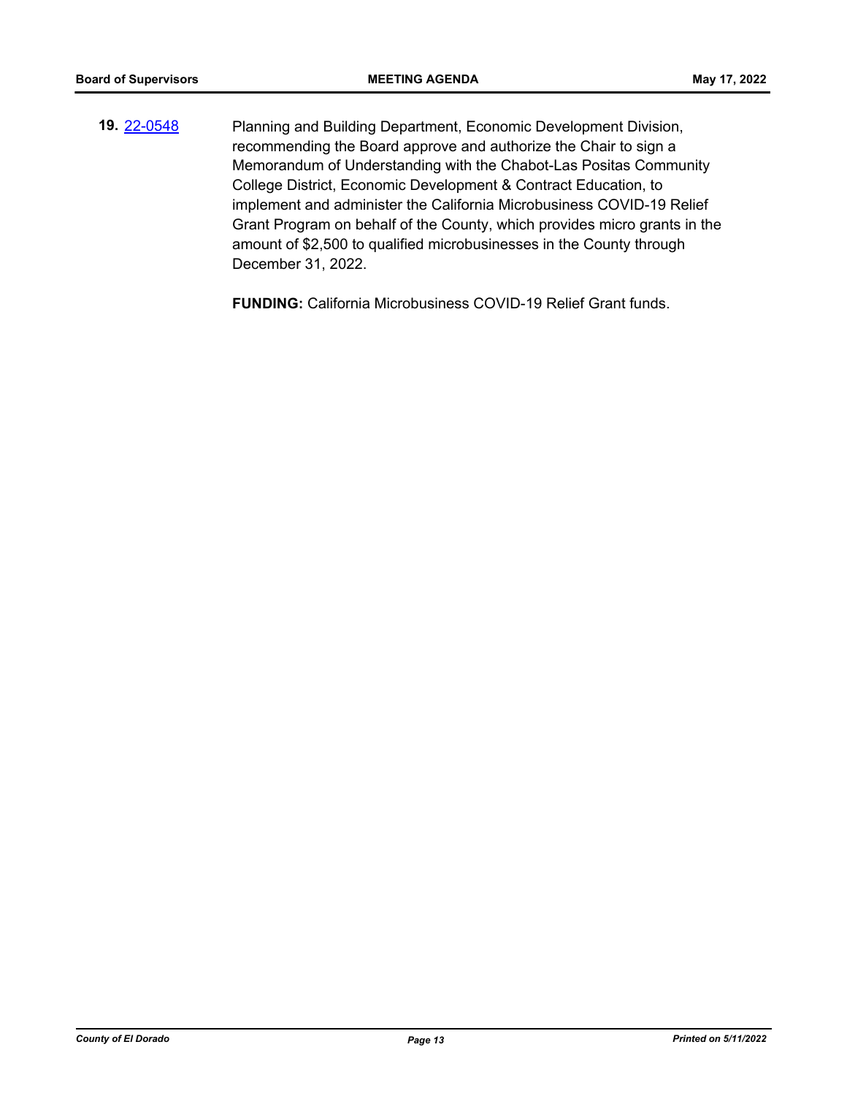**19.** [22-0548](http://eldorado.legistar.com/gateway.aspx?m=l&id=/matter.aspx?key=31449) Planning and Building Department, Economic Development Division, recommending the Board approve and authorize the Chair to sign a Memorandum of Understanding with the Chabot-Las Positas Community College District, Economic Development & Contract Education, to implement and administer the California Microbusiness COVID-19 Relief Grant Program on behalf of the County, which provides micro grants in the amount of \$2,500 to qualified microbusinesses in the County through December 31, 2022.

**FUNDING:** California Microbusiness COVID-19 Relief Grant funds.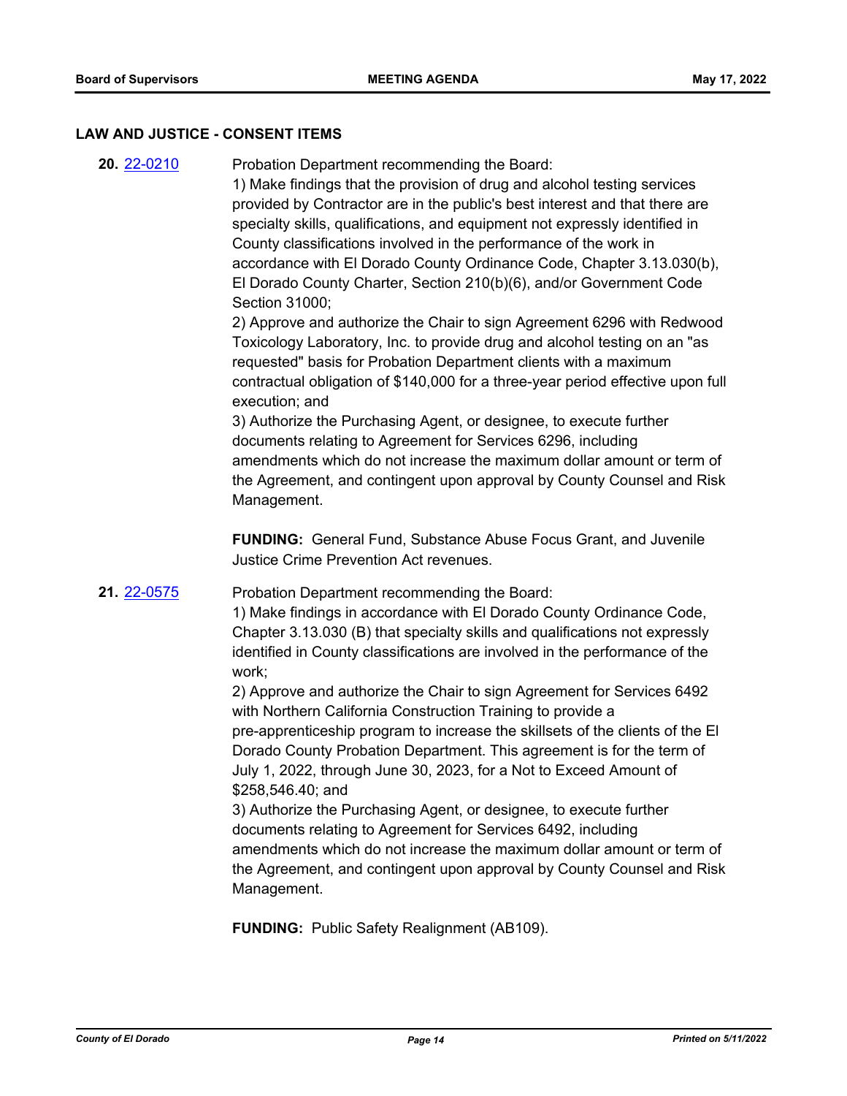#### **LAW AND JUSTICE - CONSENT ITEMS**

**20.** [22-0210](http://eldorado.legistar.com/gateway.aspx?m=l&id=/matter.aspx?key=31111) Probation Department recommending the Board: 1) Make findings that the provision of drug and alcohol testing services provided by Contractor are in the public's best interest and that there are specialty skills, qualifications, and equipment not expressly identified in County classifications involved in the performance of the work in accordance with El Dorado County Ordinance Code, Chapter 3.13.030(b), El Dorado County Charter, Section 210(b)(6), and/or Government Code Section 31000;

> 2) Approve and authorize the Chair to sign Agreement 6296 with Redwood Toxicology Laboratory, Inc. to provide drug and alcohol testing on an "as requested" basis for Probation Department clients with a maximum contractual obligation of \$140,000 for a three-year period effective upon full execution; and

> 3) Authorize the Purchasing Agent, or designee, to execute further documents relating to Agreement for Services 6296, including amendments which do not increase the maximum dollar amount or term of the Agreement, and contingent upon approval by County Counsel and Risk Management.

**FUNDING:** General Fund, Substance Abuse Focus Grant, and Juvenile Justice Crime Prevention Act revenues.

**21.** [22-0575](http://eldorado.legistar.com/gateway.aspx?m=l&id=/matter.aspx?key=31476) Probation Department recommending the Board:

1) Make findings in accordance with El Dorado County Ordinance Code, Chapter 3.13.030 (B) that specialty skills and qualifications not expressly identified in County classifications are involved in the performance of the work;

2) Approve and authorize the Chair to sign Agreement for Services 6492 with Northern California Construction Training to provide a pre-apprenticeship program to increase the skillsets of the clients of the El Dorado County Probation Department. This agreement is for the term of July 1, 2022, through June 30, 2023, for a Not to Exceed Amount of \$258,546.40; and

3) Authorize the Purchasing Agent, or designee, to execute further documents relating to Agreement for Services 6492, including amendments which do not increase the maximum dollar amount or term of the Agreement, and contingent upon approval by County Counsel and Risk Management.

**FUNDING:** Public Safety Realignment (AB109).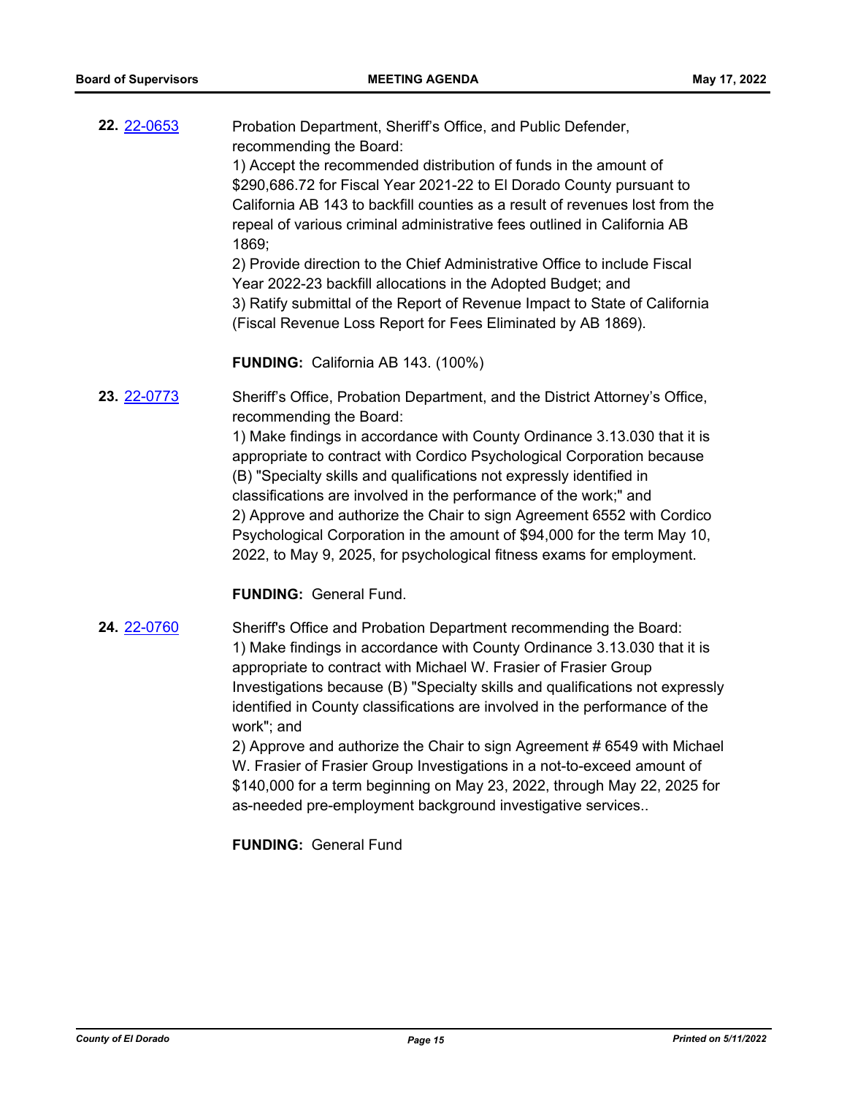| <b>22. 22-0653</b> | Probation Department, Sheriff's Office, and Public Defender,<br>recommending the Board:<br>1) Accept the recommended distribution of funds in the amount of<br>\$290,686.72 for Fiscal Year 2021-22 to El Dorado County pursuant to<br>California AB 143 to backfill counties as a result of revenues lost from the<br>repeal of various criminal administrative fees outlined in California AB<br>1869;<br>2) Provide direction to the Chief Administrative Office to include Fiscal<br>Year 2022-23 backfill allocations in the Adopted Budget; and<br>3) Ratify submittal of the Report of Revenue Impact to State of California<br>(Fiscal Revenue Loss Report for Fees Eliminated by AB 1869).<br><b>FUNDING:</b> California AB 143. (100%) |
|--------------------|--------------------------------------------------------------------------------------------------------------------------------------------------------------------------------------------------------------------------------------------------------------------------------------------------------------------------------------------------------------------------------------------------------------------------------------------------------------------------------------------------------------------------------------------------------------------------------------------------------------------------------------------------------------------------------------------------------------------------------------------------|
| 23. 22-0773        | Sheriff's Office, Probation Department, and the District Attorney's Office,<br>recommending the Board:<br>1) Make findings in accordance with County Ordinance 3.13.030 that it is<br>appropriate to contract with Cordico Psychological Corporation because<br>(B) "Specialty skills and qualifications not expressly identified in<br>classifications are involved in the performance of the work;" and<br>2) Approve and authorize the Chair to sign Agreement 6552 with Cordico<br>Psychological Corporation in the amount of \$94,000 for the term May 10,<br>2022, to May 9, 2025, for psychological fitness exams for employment.<br><b>FUNDING: General Fund.</b>                                                                        |

**24.** [22-0760](http://eldorado.legistar.com/gateway.aspx?m=l&id=/matter.aspx?key=31661) Sheriff's Office and Probation Department recommending the Board: 1) Make findings in accordance with County Ordinance 3.13.030 that it is appropriate to contract with Michael W. Frasier of Frasier Group Investigations because (B) "Specialty skills and qualifications not expressly identified in County classifications are involved in the performance of the work"; and 2) Approve and authorize the Chair to sign Agreement # 6549 with Michael

W. Frasier of Frasier Group Investigations in a not-to-exceed amount of \$140,000 for a term beginning on May 23, 2022, through May 22, 2025 for as-needed pre-employment background investigative services..

**FUNDING:** General Fund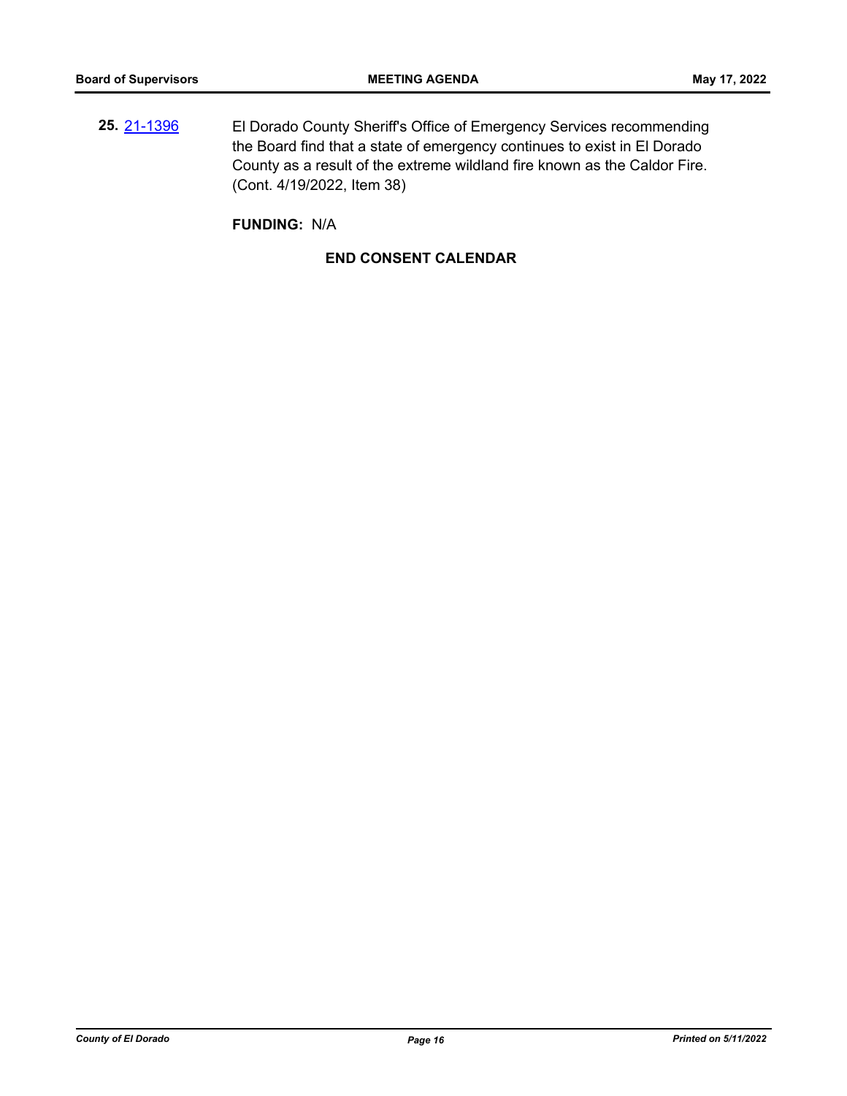**25.** [21-1396](http://eldorado.legistar.com/gateway.aspx?m=l&id=/matter.aspx?key=30291) El Dorado County Sheriff's Office of Emergency Services recommending the Board find that a state of emergency continues to exist in El Dorado County as a result of the extreme wildland fire known as the Caldor Fire. (Cont. 4/19/2022, Item 38)

**FUNDING:** N/A

#### **END CONSENT CALENDAR**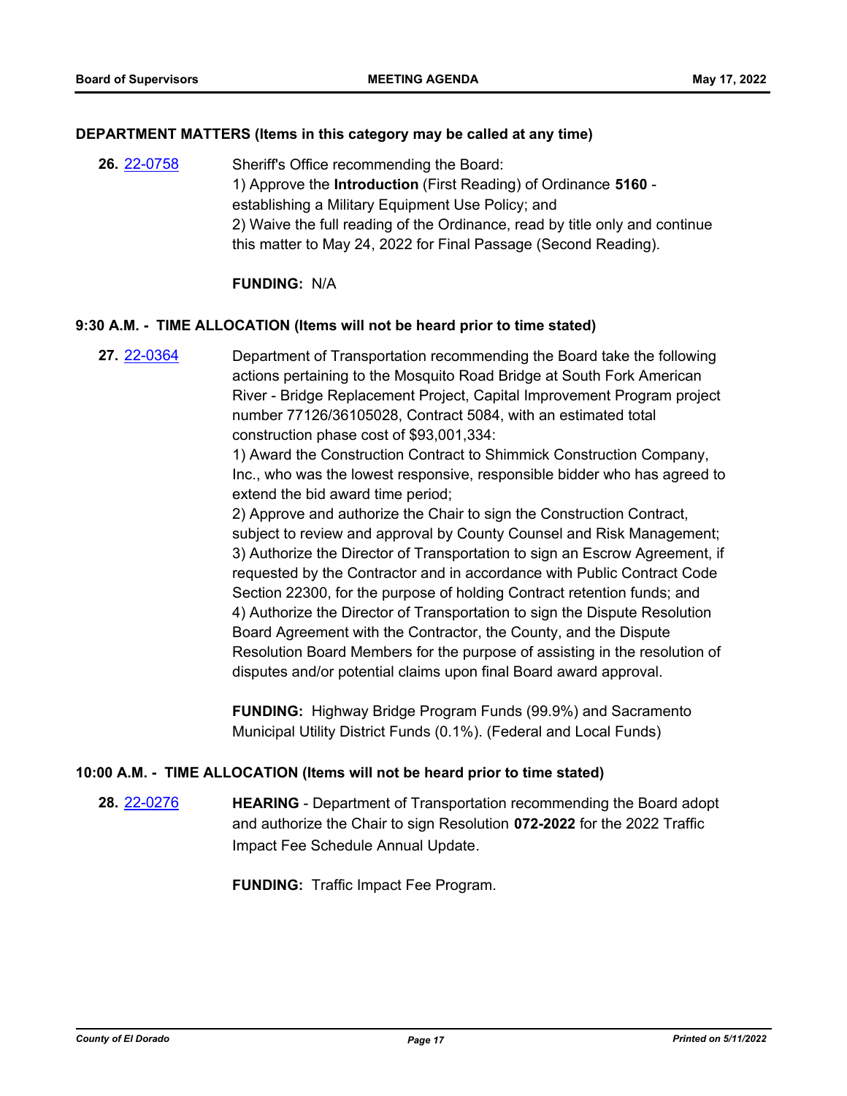#### **DEPARTMENT MATTERS (Items in this category may be called at any time)**

**26.** [22-0758](http://eldorado.legistar.com/gateway.aspx?m=l&id=/matter.aspx?key=31659) Sheriff's Office recommending the Board: 1) Approve the **Introduction** (First Reading) of Ordinance **5160** establishing a Military Equipment Use Policy; and 2) Waive the full reading of the Ordinance, read by title only and continue this matter to May 24, 2022 for Final Passage (Second Reading).

#### **FUNDING:** N/A

#### **9:30 A.M. - TIME ALLOCATION (Items will not be heard prior to time stated)**

**27.** [22-0364](http://eldorado.legistar.com/gateway.aspx?m=l&id=/matter.aspx?key=31265) Department of Transportation recommending the Board take the following actions pertaining to the Mosquito Road Bridge at South Fork American River - Bridge Replacement Project, Capital Improvement Program project number 77126/36105028, Contract 5084, with an estimated total construction phase cost of \$93,001,334:

> 1) Award the Construction Contract to Shimmick Construction Company, Inc., who was the lowest responsive, responsible bidder who has agreed to extend the bid award time period;

> 2) Approve and authorize the Chair to sign the Construction Contract, subject to review and approval by County Counsel and Risk Management; 3) Authorize the Director of Transportation to sign an Escrow Agreement, if requested by the Contractor and in accordance with Public Contract Code Section 22300, for the purpose of holding Contract retention funds; and 4) Authorize the Director of Transportation to sign the Dispute Resolution Board Agreement with the Contractor, the County, and the Dispute Resolution Board Members for the purpose of assisting in the resolution of disputes and/or potential claims upon final Board award approval.

**FUNDING:** Highway Bridge Program Funds (99.9%) and Sacramento Municipal Utility District Funds (0.1%). (Federal and Local Funds)

#### **10:00 A.M. - TIME ALLOCATION (Items will not be heard prior to time stated)**

**28.** [22-0276](http://eldorado.legistar.com/gateway.aspx?m=l&id=/matter.aspx?key=31177) **HEARING** - Department of Transportation recommending the Board adopt and authorize the Chair to sign Resolution **072-2022** for the 2022 Traffic Impact Fee Schedule Annual Update*.*

**FUNDING:** Traffic Impact Fee Program.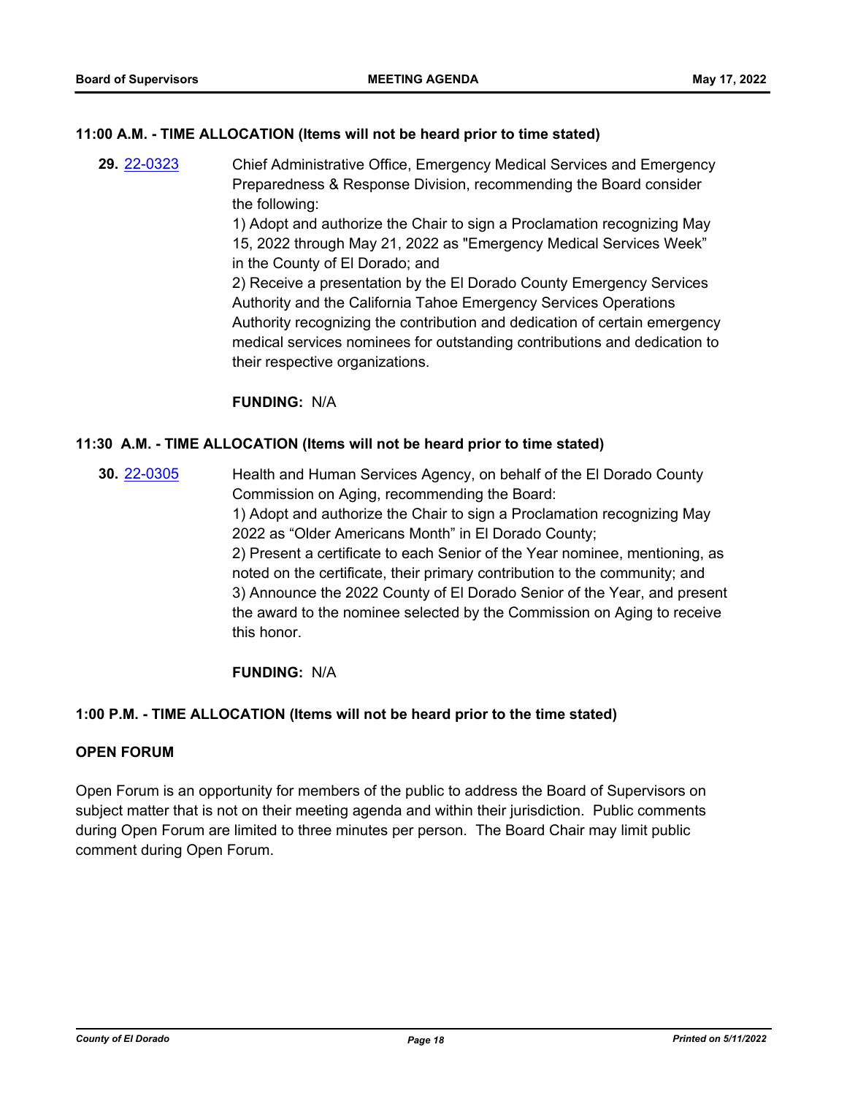#### **11:00 A.M. - TIME ALLOCATION (Items will not be heard prior to time stated)**

**29.** [22-0323](http://eldorado.legistar.com/gateway.aspx?m=l&id=/matter.aspx?key=31224) Chief Administrative Office, Emergency Medical Services and Emergency Preparedness & Response Division, recommending the Board consider the following: 1) Adopt and authorize the Chair to sign a Proclamation recognizing May 15, 2022 through May 21, 2022 as "Emergency Medical Services Week" in the County of El Dorado; and 2) Receive a presentation by the El Dorado County Emergency Services Authority and the California Tahoe Emergency Services Operations Authority recognizing the contribution and dedication of certain emergency medical services nominees for outstanding contributions and dedication to their respective organizations.

#### **FUNDING:** N/A

#### **11:30 A.M. - TIME ALLOCATION (Items will not be heard prior to time stated)**

**30.** [22-0305](http://eldorado.legistar.com/gateway.aspx?m=l&id=/matter.aspx?key=31206) Health and Human Services Agency, on behalf of the El Dorado County Commission on Aging, recommending the Board: 1) Adopt and authorize the Chair to sign a Proclamation recognizing May 2022 as "Older Americans Month" in El Dorado County; 2) Present a certificate to each Senior of the Year nominee, mentioning, as noted on the certificate, their primary contribution to the community; and 3) Announce the 2022 County of El Dorado Senior of the Year, and present the award to the nominee selected by the Commission on Aging to receive this honor.

#### **FUNDING:** N/A

#### **1:00 P.M. - TIME ALLOCATION (Items will not be heard prior to the time stated)**

#### **OPEN FORUM**

Open Forum is an opportunity for members of the public to address the Board of Supervisors on subject matter that is not on their meeting agenda and within their jurisdiction. Public comments during Open Forum are limited to three minutes per person. The Board Chair may limit public comment during Open Forum.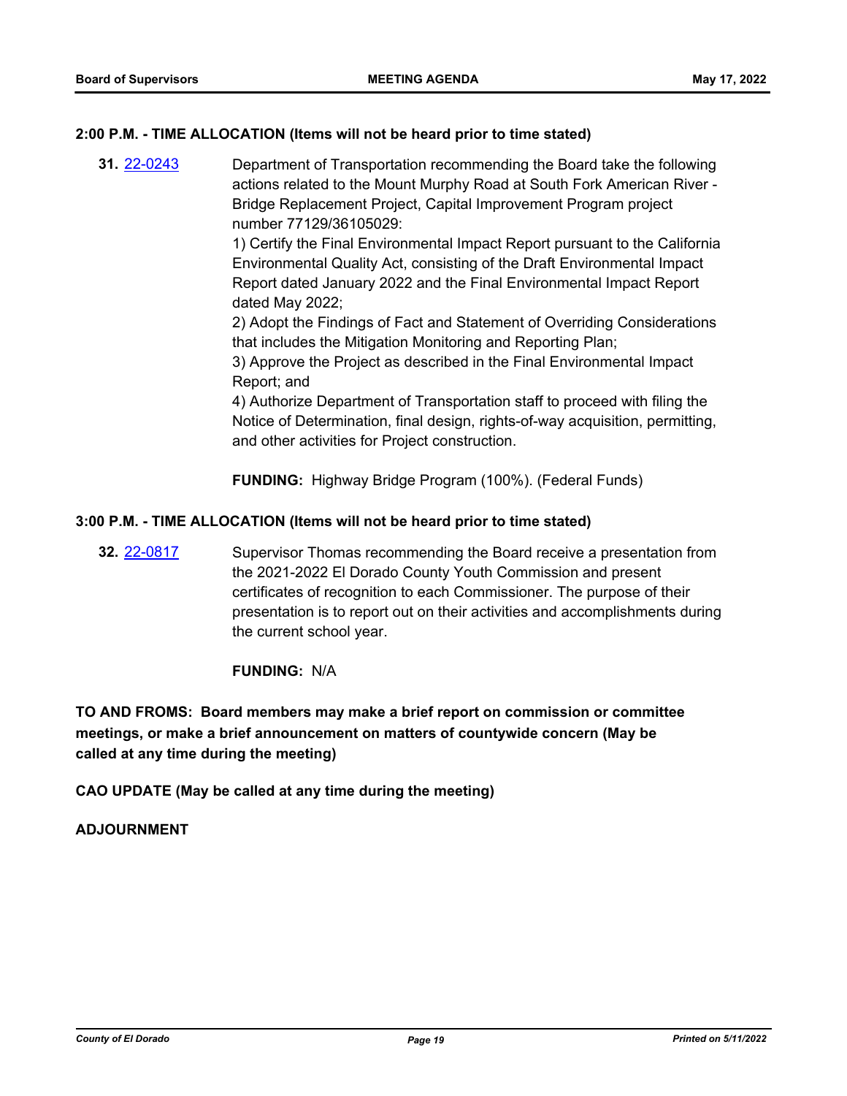#### **2:00 P.M. - TIME ALLOCATION (Items will not be heard prior to time stated)**

**31.** [22-0243](http://eldorado.legistar.com/gateway.aspx?m=l&id=/matter.aspx?key=31144) Department of Transportation recommending the Board take the following actions related to the Mount Murphy Road at South Fork American River - Bridge Replacement Project, Capital Improvement Program project number 77129/36105029:

> 1) Certify the Final Environmental Impact Report pursuant to the California Environmental Quality Act, consisting of the Draft Environmental Impact Report dated January 2022 and the Final Environmental Impact Report dated May 2022;

> 2) Adopt the Findings of Fact and Statement of Overriding Considerations that includes the Mitigation Monitoring and Reporting Plan;

3) Approve the Project as described in the Final Environmental Impact Report; and

4) Authorize Department of Transportation staff to proceed with filing the Notice of Determination, final design, rights-of-way acquisition, permitting, and other activities for Project construction.

**FUNDING:** Highway Bridge Program (100%). (Federal Funds)

#### **3:00 P.M. - TIME ALLOCATION (Items will not be heard prior to time stated)**

**32.** [22-0817](http://eldorado.legistar.com/gateway.aspx?m=l&id=/matter.aspx?key=31720) Supervisor Thomas recommending the Board receive a presentation from the 2021-2022 El Dorado County Youth Commission and present certificates of recognition to each Commissioner. The purpose of their presentation is to report out on their activities and accomplishments during the current school year.

#### **FUNDING:** N/A

**TO AND FROMS: Board members may make a brief report on commission or committee meetings, or make a brief announcement on matters of countywide concern (May be called at any time during the meeting)**

**CAO UPDATE (May be called at any time during the meeting)**

#### **ADJOURNMENT**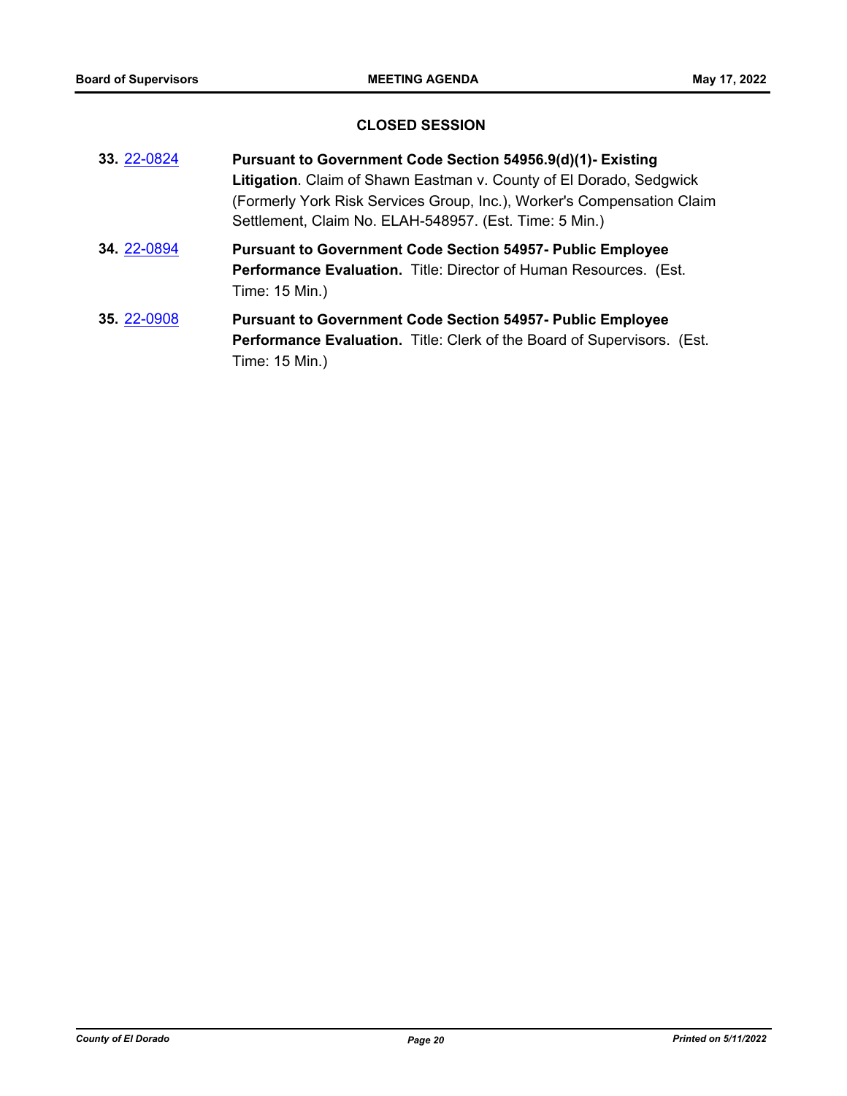# **CLOSED SESSION**

| 33. 22-0824 | Pursuant to Government Code Section 54956.9(d)(1)- Existing<br>Litigation. Claim of Shawn Eastman v. County of El Dorado, Sedgwick<br>(Formerly York Risk Services Group, Inc.), Worker's Compensation Claim<br>Settlement, Claim No. ELAH-548957. (Est. Time: 5 Min.) |
|-------------|------------------------------------------------------------------------------------------------------------------------------------------------------------------------------------------------------------------------------------------------------------------------|
| 34. 22-0894 | <b>Pursuant to Government Code Section 54957- Public Employee</b><br>Performance Evaluation. Title: Director of Human Resources. (Est.<br>Time: 15 Min.)                                                                                                               |
| 35. 22-0908 | <b>Pursuant to Government Code Section 54957- Public Employee</b><br>Performance Evaluation. Title: Clerk of the Board of Supervisors. (Est.<br>Time: 15 Min.)                                                                                                         |